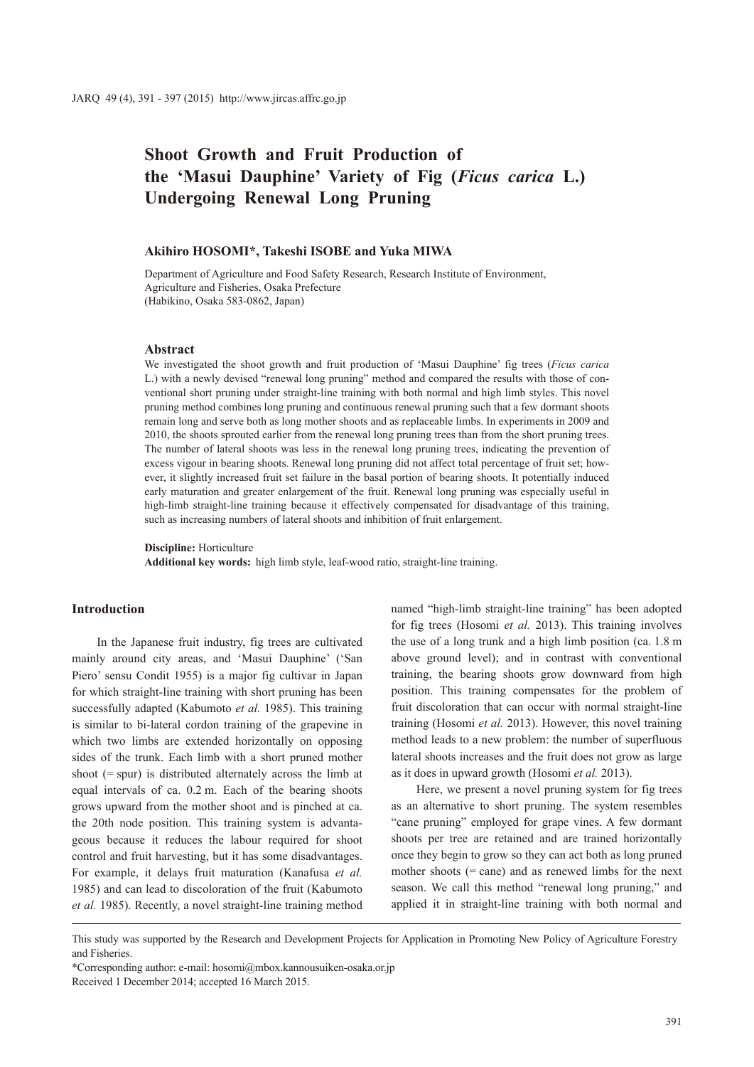# **Shoot Growth and Fruit Production of the 'Masui Dauphine' Variety of Fig (***Ficus carica* **L.) Undergoing Renewal Long Pruning**

### **Akihiro HOSOMI\*, Takeshi ISOBE and Yuka MIWA**

Department of Agriculture and Food Safety Research, Research Institute of Environment, Agriculture and Fisheries, Osaka Prefecture (Habikino, Osaka 583-0862, Japan)

## **Abstract**

We investigated the shoot growth and fruit production of 'Masui Dauphine' fig trees (*Ficus carica* L.) with a newly devised "renewal long pruning" method and compared the results with those of conventional short pruning under straight-line training with both normal and high limb styles. This novel pruning method combines long pruning and continuous renewal pruning such that a few dormant shoots remain long and serve both as long mother shoots and as replaceable limbs. In experiments in 2009 and 2010, the shoots sprouted earlier from the renewal long pruning trees than from the short pruning trees. The number of lateral shoots was less in the renewal long pruning trees, indicating the prevention of excess vigour in bearing shoots. Renewal long pruning did not affect total percentage of fruit set; however, it slightly increased fruit set failure in the basal portion of bearing shoots. It potentially induced early maturation and greater enlargement of the fruit. Renewal long pruning was especially useful in high-limb straight-line training because it effectively compensated for disadvantage of this training, such as increasing numbers of lateral shoots and inhibition of fruit enlargement.

**Discipline:** Horticulture

**Additional key words:** high limb style, leaf-wood ratio, straight-line training.

# **Introduction**

In the Japanese fruit industry, fig trees are cultivated mainly around city areas, and 'Masui Dauphine' ('San Piero' sensu Condit 1955) is a major fig cultivar in Japan for which straight-line training with short pruning has been successfully adapted (Kabumoto *et al.* 1985). This training is similar to bi-lateral cordon training of the grapevine in which two limbs are extended horizontally on opposing sides of the trunk. Each limb with a short pruned mother shoot (= spur) is distributed alternately across the limb at equal intervals of ca. 0.2 m. Each of the bearing shoots grows upward from the mother shoot and is pinched at ca. the 20th node position. This training system is advantageous because it reduces the labour required for shoot control and fruit harvesting, but it has some disadvantages. For example, it delays fruit maturation (Kanafusa *et al.* 1985) and can lead to discoloration of the fruit (Kabumoto *et al.* 1985). Recently, a novel straight-line training method

named "high-limb straight-line training" has been adopted for fig trees (Hosomi *et al.* 2013). This training involves the use of a long trunk and a high limb position (ca. 1.8 m above ground level); and in contrast with conventional training, the bearing shoots grow downward from high position. This training compensates for the problem of fruit discoloration that can occur with normal straight-line training (Hosomi *et al.* 2013). However, this novel training method leads to a new problem: the number of superfluous lateral shoots increases and the fruit does not grow as large as it does in upward growth (Hosomi *et al.* 2013).

Here, we present a novel pruning system for fig trees as an alternative to short pruning. The system resembles "cane pruning" employed for grape vines. A few dormant shoots per tree are retained and are trained horizontally once they begin to grow so they can act both as long pruned mother shoots  $(=$  cane) and as renewed limbs for the next season. We call this method "renewal long pruning," and applied it in straight-line training with both normal and

This study was supported by the Research and Development Projects for Application in Promoting New Policy of Agriculture Forestry and Fisheries.

<sup>\*</sup>Corresponding author: e-mail: hosomi@mbox.kannousuiken-osaka.or.jp Received 1 December 2014; accepted 16 March 2015.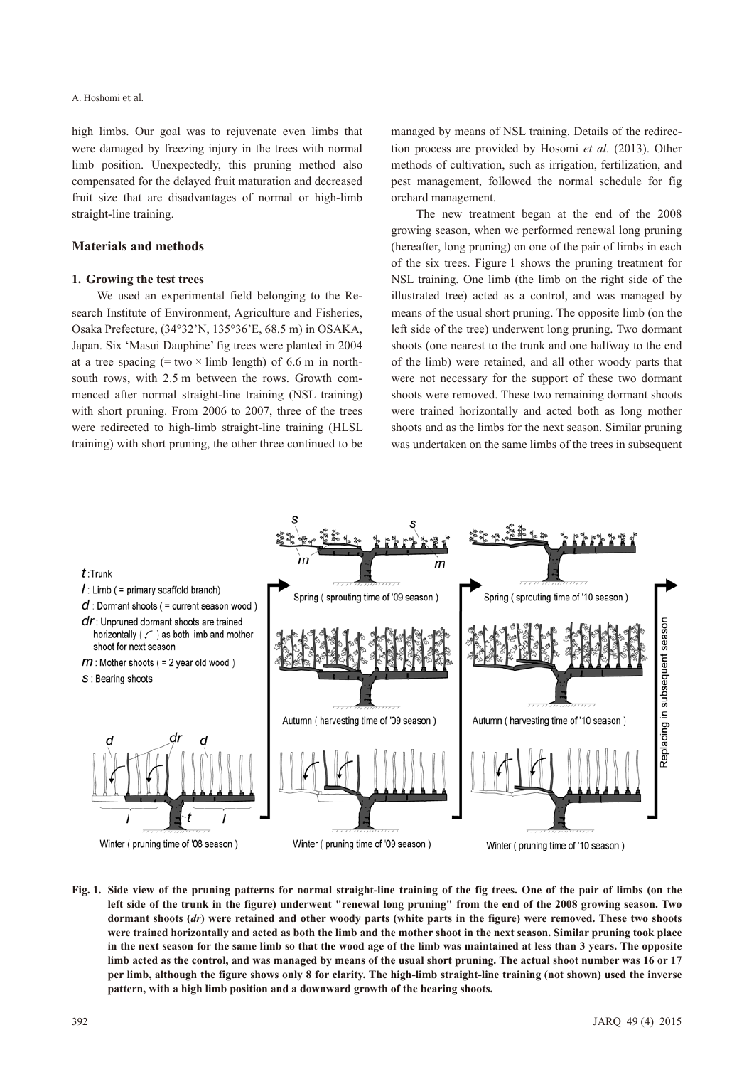#### A. Hoshomi et al.

high limbs. Our goal was to rejuvenate even limbs that were damaged by freezing injury in the trees with normal limb position. Unexpectedly, this pruning method also compensated for the delayed fruit maturation and decreased fruit size that are disadvantages of normal or high-limb straight-line training.

# **Materials and methods**

#### **1. Growing the test trees**

We used an experimental field belonging to the Research Institute of Environment, Agriculture and Fisheries, Osaka Prefecture, (34°32'N, 135°36'E, 68.5 m) in OSAKA, Japan. Six 'Masui Dauphine' fig trees were planted in 2004 at a tree spacing (= two  $\times$  limb length) of 6.6 m in northsouth rows, with 2.5 m between the rows. Growth commenced after normal straight-line training (NSL training) with short pruning. From 2006 to 2007, three of the trees were redirected to high-limb straight-line training (HLSL training) with short pruning, the other three continued to be

managed by means of NSL training. Details of the redirection process are provided by Hosomi *et al.* (2013). Other methods of cultivation, such as irrigation, fertilization, and pest management, followed the normal schedule for fig orchard management.

The new treatment began at the end of the 2008 growing season, when we performed renewal long pruning (hereafter, long pruning) on one of the pair of limbs in each of the six trees. Figure 1 shows the pruning treatment for NSL training. One limb (the limb on the right side of the illustrated tree) acted as a control, and was managed by means of the usual short pruning. The opposite limb (on the left side of the tree) underwent long pruning. Two dormant shoots (one nearest to the trunk and one halfway to the end of the limb) were retained, and all other woody parts that were not necessary for the support of these two dormant shoots were removed. These two remaining dormant shoots were trained horizontally and acted both as long mother shoots and as the limbs for the next season. Similar pruning was undertaken on the same limbs of the trees in subsequent



**Fig. 1. Side view of the pruning patterns for normal straight-line training of the fig trees. One of the pair of limbs (on the left side of the trunk in the figure) underwent "renewal long pruning" from the end of the 2008 growing season. Two dormant shoots (***dr***) were retained and other woody parts (white parts in the figure) were removed. These two shoots were trained horizontally and acted as both the limb and the mother shoot in the next season. Similar pruning took place in the next season for the same limb so that the wood age of the limb was maintained at less than 3 years. The opposite limb acted as the control, and was managed by means of the usual short pruning. The actual shoot number was 16 or 17 per limb, although the figure shows only 8 for clarity. The high-limb straight-line training (not shown) used the inverse pattern, with a high limb position and a downward growth of the bearing shoots.**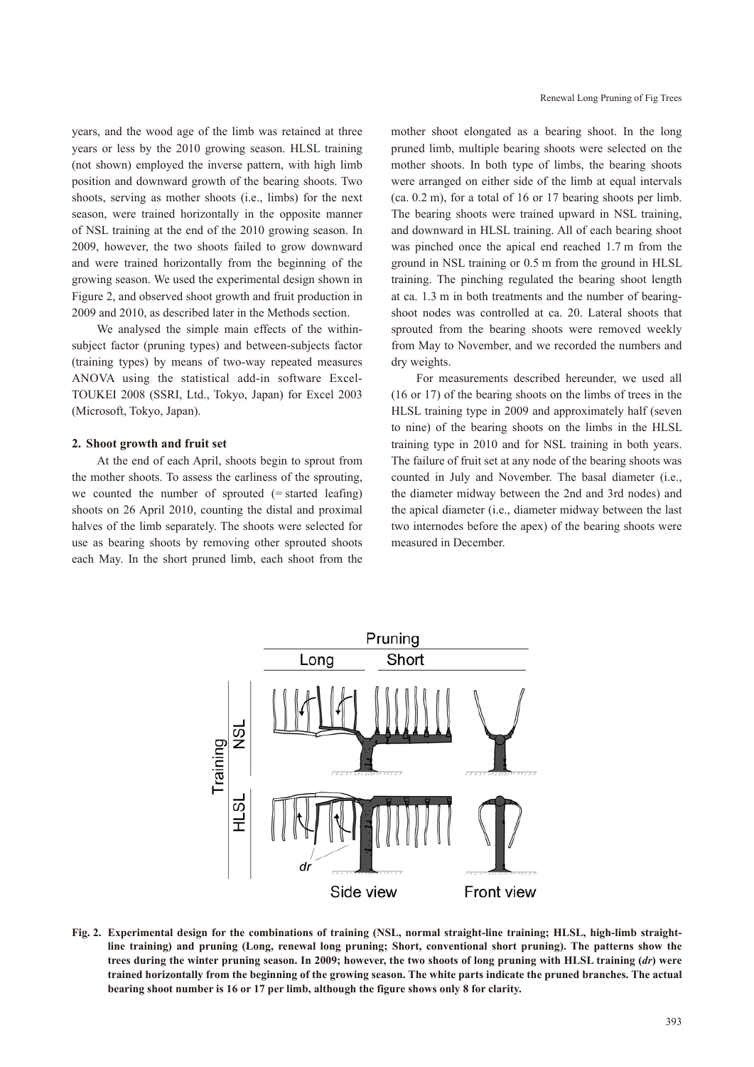years, and the wood age of the limb was retained at three years or less by the 2010 growing season. HLSL training (not shown) employed the inverse pattern, with high limb position and downward growth of the bearing shoots. Two shoots, serving as mother shoots (i.e., limbs) for the next season, were trained horizontally in the opposite manner of NSL training at the end of the 2010 growing season. In 2009, however, the two shoots failed to grow downward and were trained horizontally from the beginning of the growing season. We used the experimental design shown in Figure 2, and observed shoot growth and fruit production in 2009 and 2010, as described later in the Methods section.

We analysed the simple main effects of the withinsubject factor (pruning types) and between-subjects factor (training types) by means of two-way repeated measures ANOVA using the statistical add-in software Excel-TOUKEI 2008 (SSRI, Ltd., Tokyo, Japan) for Excel 2003 (Microsoft, Tokyo, Japan).

# **2. Shoot growth and fruit set**

At the end of each April, shoots begin to sprout from the mother shoots. To assess the earliness of the sprouting, we counted the number of sprouted  $($  = started leafing) shoots on 26 April 2010, counting the distal and proximal halves of the limb separately. The shoots were selected for use as bearing shoots by removing other sprouted shoots each May. In the short pruned limb, each shoot from the mother shoot elongated as a bearing shoot. In the long pruned limb, multiple bearing shoots were selected on the mother shoots. In both type of limbs, the bearing shoots were arranged on either side of the limb at equal intervals (ca. 0.2 m), for a total of 16 or 17 bearing shoots per limb. The bearing shoots were trained upward in NSL training, and downward in HLSL training. All of each bearing shoot was pinched once the apical end reached 1.7 m from the ground in NSL training or 0.5 m from the ground in HLSL training. The pinching regulated the bearing shoot length at ca. 1.3 m in both treatments and the number of bearingshoot nodes was controlled at ca. 20. Lateral shoots that sprouted from the bearing shoots were removed weekly from May to November, and we recorded the numbers and dry weights.

For measurements described hereunder, we used all (16 or 17) of the bearing shoots on the limbs of trees in the HLSL training type in 2009 and approximately half (seven to nine) of the bearing shoots on the limbs in the HLSL training type in 2010 and for NSL training in both years. The failure of fruit set at any node of the bearing shoots was counted in July and November. The basal diameter (i.e., the diameter midway between the 2nd and 3rd nodes) and the apical diameter (i.e., diameter midway between the last two internodes before the apex) of the bearing shoots were measured in December.



**Fig. 2. Experimental design for the combinations of training (NSL, normal straight-line training; HLSL, high-limb straightline training) and pruning (Long, renewal long pruning; Short, conventional short pruning). The patterns show the trees during the winter pruning season. In 2009; however, the two shoots of long pruning with HLSL training (***dr***) were trained horizontally from the beginning of the growing season. The white parts indicate the pruned branches. The actual bearing shoot number is 16 or 17 per limb, although the figure shows only 8 for clarity.**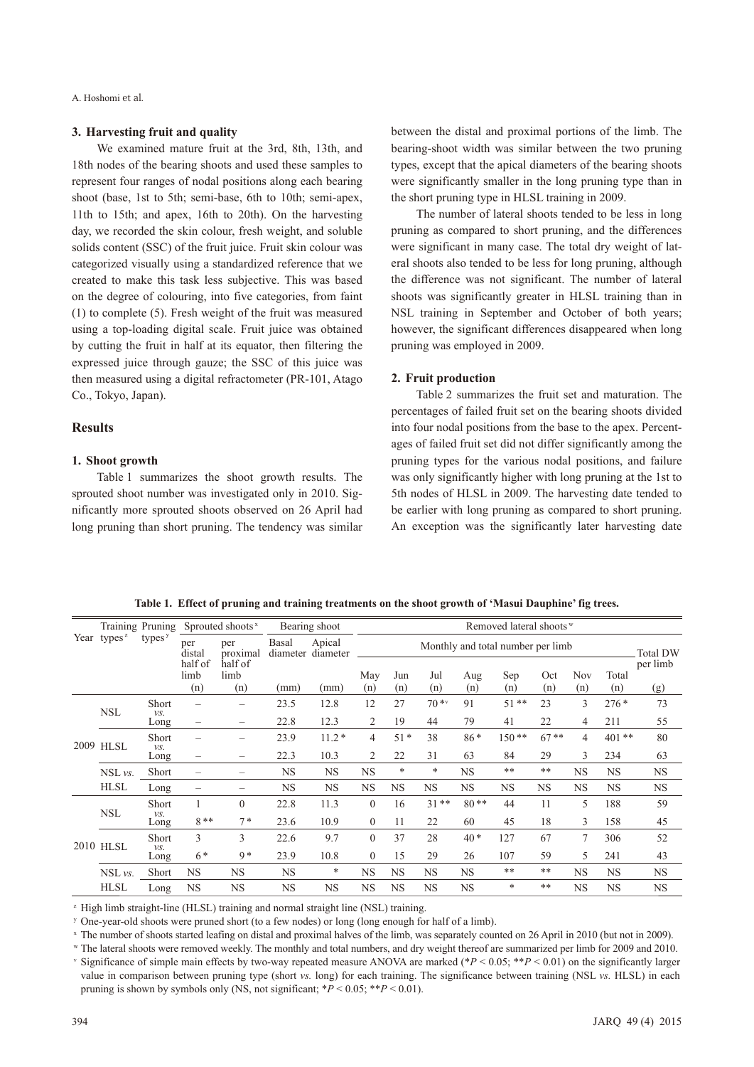# **3. Harvesting fruit and quality**

We examined mature fruit at the 3rd, 8th, 13th, and 18th nodes of the bearing shoots and used these samples to represent four ranges of nodal positions along each bearing shoot (base, 1st to 5th; semi-base, 6th to 10th; semi-apex, 11th to 15th; and apex, 16th to 20th). On the harvesting day, we recorded the skin colour, fresh weight, and soluble solids content (SSC) of the fruit juice. Fruit skin colour was categorized visually using a standardized reference that we created to make this task less subjective. This was based on the degree of colouring, into five categories, from faint (1) to complete (5). Fresh weight of the fruit was measured using a top-loading digital scale. Fruit juice was obtained by cutting the fruit in half at its equator, then filtering the expressed juice through gauze; the SSC of this juice was then measured using a digital refractometer (PR-101, Atago Co., Tokyo, Japan).

# **Results**

## **1. Shoot growth**

Table 1 summarizes the shoot growth results. The sprouted shoot number was investigated only in 2010. Significantly more sprouted shoots observed on 26 April had long pruning than short pruning. The tendency was similar

between the distal and proximal portions of the limb. The bearing-shoot width was similar between the two pruning types, except that the apical diameters of the bearing shoots were significantly smaller in the long pruning type than in the short pruning type in HLSL training in 2009.

The number of lateral shoots tended to be less in long pruning as compared to short pruning, and the differences were significant in many case. The total dry weight of lateral shoots also tended to be less for long pruning, although the difference was not significant. The number of lateral shoots was significantly greater in HLSL training than in NSL training in September and October of both years; however, the significant differences disappeared when long pruning was employed in 2009.

# **2. Fruit production**

Table 2 summarizes the fruit set and maturation. The percentages of failed fruit set on the bearing shoots divided into four nodal positions from the base to the apex. Percentages of failed fruit set did not differ significantly among the pruning types for the various nodal positions, and failure was only significantly higher with long pruning at the 1st to 5th nodes of HLSL in 2009. The harvesting date tended to be earlier with long pruning as compared to short pruning. An exception was the significantly later harvesting date

|  |                                      | Training Pruning<br>types <sup>y</sup> | Sprouted shoots <sup>x</sup> |                          | Bearing shoot     |                    | Removed lateral shoots w |           |           |           |                                   |           |           |           |                 |  |
|--|--------------------------------------|----------------------------------------|------------------------------|--------------------------|-------------------|--------------------|--------------------------|-----------|-----------|-----------|-----------------------------------|-----------|-----------|-----------|-----------------|--|
|  | Year types <sup><math>z</math></sup> |                                        | per<br>distal                | per<br>proximal          | Basal<br>diameter | Apical<br>diameter |                          |           |           |           | Monthly and total number per limb |           |           |           | <b>Total DW</b> |  |
|  |                                      |                                        | half of<br>limb              | half of<br>limb          |                   |                    | May                      | Jun       | Jul       | Aug       | Sep                               | Oct       | Nov       | Total     | per limb        |  |
|  |                                      |                                        | (n)                          | (n)                      | (mm)              | (mm)               | (n)                      | (n)       | (n)       | (n)       | (n)                               | (n)       | (n)       | (n)       | (g)             |  |
|  | <b>NSL</b>                           | Short<br>VS.                           |                              |                          | 23.5              | 12.8               | 12                       | 27        | $70**$    | 91        | $51**$                            | 23        | 3         | $276*$    | 73              |  |
|  |                                      | Long                                   | -                            | $\overline{\phantom{0}}$ | 22.8              | 12.3               | $\overline{2}$           | 19        | 44        | 79        | 41                                | 22        | 4         | 211       | 55              |  |
|  | 2009 HLSL                            | Short<br>vs.                           |                              | $\overline{\phantom{0}}$ | 23.9              | $11.2*$            | 4                        | $51*$     | 38        | $86*$     | $150**$                           | $67**$    | 4         | $401**$   | 80              |  |
|  |                                      | Long                                   | —                            | $\overline{\phantom{0}}$ | 22.3              | 10.3               | $\overline{2}$           | 22        | 31        | 63        | 84                                | 29        | 3         | 234       | 63              |  |
|  | NSL vs.                              | Short                                  |                              |                          | <b>NS</b>         | <b>NS</b>          | <b>NS</b>                | $\ast$    | $\ast$    | <b>NS</b> | **                                | **        | <b>NS</b> | <b>NS</b> | <b>NS</b>       |  |
|  | <b>HLSL</b>                          | Long                                   |                              |                          | <b>NS</b>         | <b>NS</b>          | <b>NS</b>                | <b>NS</b> | <b>NS</b> | <b>NS</b> | <b>NS</b>                         | <b>NS</b> | <b>NS</b> | <b>NS</b> | <b>NS</b>       |  |
|  | <b>NSL</b>                           | Short                                  |                              | $\theta$                 | 22.8              | 11.3               | $\Omega$                 | 16        | $31**$    | $80**$    | 44                                | 11        | 5         | 188       | 59              |  |
|  |                                      | vs.<br>Long                            | $8**$                        | $7 *$                    | 23.6              | 10.9               | $\overline{0}$           | 11        | 22        | 60        | 45                                | 18        | 3         | 158       | 45              |  |
|  | 2010 HLSL                            | Short                                  | 3                            | 3                        | 22.6              | 9.7                | $\overline{0}$           | 37        | 28        | $40*$     | 127                               | 67        | 7         | 306       | 52              |  |
|  |                                      | vs.<br>Long                            | $6*$                         | $9*$                     | 23.9              | 10.8               | $\Omega$                 | 15        | 29        | 26        | 107                               | 59        | 5.        | 241       | 43              |  |
|  | NSL vs.                              | Short                                  | <b>NS</b>                    | <b>NS</b>                | <b>NS</b>         | *                  | NS.                      | <b>NS</b> | <b>NS</b> | <b>NS</b> | **                                | **        | <b>NS</b> | <b>NS</b> | <b>NS</b>       |  |
|  | <b>HLSL</b>                          | Long                                   | <b>NS</b>                    | NS                       | <b>NS</b>         | <b>NS</b>          | <b>NS</b>                | <b>NS</b> | <b>NS</b> | <b>NS</b> | *                                 | **        | <b>NS</b> | <b>NS</b> | <b>NS</b>       |  |

**Table 1. Effect of pruning and training treatments on the shoot growth of 'Masui Dauphine' fig trees.**

<sup>z</sup> High limb straight-line (HLSL) training and normal straight line (NSL) training.

<sup>y</sup> One-year-old shoots were pruned short (to a few nodes) or long (long enough for half of a limb).

<sup>x</sup> The number of shoots started leafing on distal and proximal halves of the limb, was separately counted on 26 April in 2010 (but not in 2009).

<sup>w</sup> The lateral shoots were removed weekly. The monthly and total numbers, and dry weight thereof are summarized per limb for 2009 and 2010. <sup>v</sup> Significance of simple main effects by two-way repeated measure ANOVA are marked (\**P* < 0.05; \*\**P* < 0.01) on the significantly larger value in comparison between pruning type (short *vs.* long) for each training. The significance between training (NSL *vs.* HLSL) in each pruning is shown by symbols only (NS, not significant; \**P* < 0.05; \*\**P* < 0.01).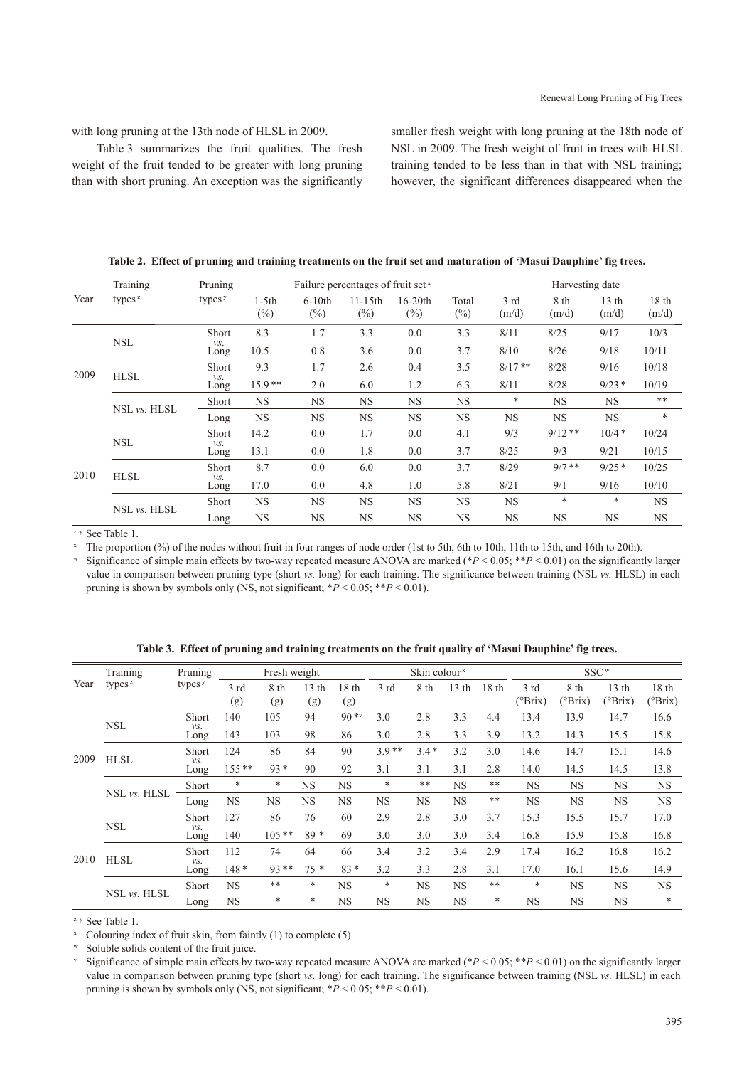with long pruning at the 13th node of HLSL in 2009.

Table 3 summarizes the fruit qualities. The fresh weight of the fruit tended to be greater with long pruning than with short pruning. An exception was the significantly smaller fresh weight with long pruning at the 18th node of NSL in 2009. The fresh weight of fruit in trees with HLSL training tended to be less than in that with NSL training; however, the significant differences disappeared when the

|      | Training     | Pruning        |                   |                     | Failure percentages of fruit set <sup>x</sup> |                   | Harvesting date |              |                          |                           |                           |
|------|--------------|----------------|-------------------|---------------------|-----------------------------------------------|-------------------|-----------------|--------------|--------------------------|---------------------------|---------------------------|
| Year | types $z$    | types $y$      | $1-5th$<br>$(\%)$ | $6-10$ th<br>$(\%)$ | $11-15$ th<br>$(\%)$                          | 16-20th<br>$(\%)$ | Total<br>$(\%)$ | 3rd<br>(m/d) | 8 <sub>th</sub><br>(m/d) | 13 <sub>th</sub><br>(m/d) | 18 <sup>th</sup><br>(m/d) |
| 2009 |              | Short          | 8.3               | 1.7                 | 3.3                                           | 0.0               | 3.3             | 8/11         | 8/25                     | 9/17                      | 10/3                      |
|      | <b>NSL</b>   | $VS$ .<br>Long | 10.5              | 0.8                 | 3.6                                           | 0.0               | 3.7             | 8/10         | 8/26                     | 9/18                      | 10/11                     |
|      |              | Short          | 9.3               | 1.7                 | 2.6                                           | 0.4               | 3.5             | $8/17$ **    | 8/28                     | 9/16                      | 10/18                     |
|      | <b>HLSL</b>  | $VS$ .<br>Long | $15.9**$          | 2.0                 | 6.0                                           | 1.2               | 6.3             | 8/11         | 8/28                     | $9/23*$                   | 10/19                     |
|      |              | Short          | <b>NS</b>         | <b>NS</b>           | <b>NS</b>                                     | <b>NS</b>         | <b>NS</b>       | $\ast$       | <b>NS</b>                | <b>NS</b>                 | **                        |
|      | NSL vs. HLSL | Long           | <b>NS</b>         | <b>NS</b>           | <b>NS</b>                                     | <b>NS</b>         | <b>NS</b>       | <b>NS</b>    | <b>NS</b>                | <b>NS</b>                 | $\ast$                    |
| 2010 |              | Short          | 14.2              | 0.0                 | 1.7                                           | 0.0               | 4.1             | 9/3          | $9/12**$                 | $10/4*$                   | 10/24                     |
|      | <b>NSL</b>   | VS.<br>Long    | 13.1              | 0.0                 | 1.8                                           | 0.0               | 3.7             | 8/25         | 9/3                      | 9/21                      | 10/15                     |
|      |              | Short          | 8.7               | 0.0                 | 6.0                                           | 0.0               | 3.7             | 8/29         | $9/7**$                  | $9/25*$                   | 10/25                     |
|      | <b>HLSL</b>  | $VS$ .<br>Long | 17.0              | 0.0                 | 4.8                                           | 1.0               | 5.8             | 8/21         | 9/1                      | 9/16                      | 10/10                     |
|      |              | <b>Short</b>   | <b>NS</b>         | <b>NS</b>           | <b>NS</b>                                     | <b>NS</b>         | <b>NS</b>       | <b>NS</b>    | *                        | *                         | <b>NS</b>                 |
|      | NSL vs. HLSL | Long           | <b>NS</b>         | <b>NS</b>           | <b>NS</b>                                     | <b>NS</b>         | <b>NS</b>       | <b>NS</b>    | <b>NS</b>                | <b>NS</b>                 | <b>NS</b>                 |

**Table 2. Effect of pruning and training treatments on the fruit set and maturation of 'Masui Dauphine' fig trees.**

<sup>z, y</sup> See Table 1.

<sup>x</sup> The proportion (%) of the nodes without fruit in four ranges of node order (1st to 5th, 6th to 10th, 11th to 15th, and 16th to 20th).

<sup>w</sup> Significance of simple main effects by two-way repeated measure ANOVA are marked (\**P* < 0.05; \*\**P* < 0.01) on the significantly larger value in comparison between pruning type (short *vs.* long) for each training. The significance between training (NSL *vs.* HLSL) in each pruning is shown by symbols only (NS, not significant; \**P* < 0.05; \*\**P* < 0.01).

| Year | Training     | Pruning            | Fresh weight |             |              |                         |           | Skin colour <sup>x</sup> |                  |                  | SSC <sup>w</sup> |                         |                             |                                      |
|------|--------------|--------------------|--------------|-------------|--------------|-------------------------|-----------|--------------------------|------------------|------------------|------------------|-------------------------|-----------------------------|--------------------------------------|
|      | types $z$    | types <sup>y</sup> | 3rd<br>(g)   | 8 th<br>(g) | 13 th<br>(g) | 18 <sup>th</sup><br>(g) | 3rd       | 8 th                     | 13 <sub>th</sub> | 18 <sup>th</sup> | 3rd<br>(°Brix)   | 8 th<br>$^{\circ}Brix)$ | 13 <sub>th</sub><br>(°Brix) | 18 <sup>th</sup><br>$(^{\circ}Brix)$ |
| 2009 | <b>NSL</b>   | Short<br>VS.       | 140          | 105         | 94           | $90**$                  | 3.0       | 2.8                      | 3.3              | 4.4              | 13.4             | 13.9                    | 14.7                        | 16.6                                 |
|      |              | Long               | 143          | 103         | 98           | 86                      | 3.0       | 2.8                      | 3.3              | 3.9              | 13.2             | 14.3                    | 15.5                        | 15.8                                 |
|      | <b>HLSL</b>  | Short<br>VS.       | 124          | 86          | 84           | 90                      | $3.9**$   | $3.4*$                   | 3.2              | 3.0              | 14.6             | 14.7                    | 15.1                        | 14.6                                 |
|      |              | Long               | $155***$     | $93*$       | 90           | 92                      | 3.1       | 3.1                      | 3.1              | 2.8              | 14.0             | 14.5                    | 14.5                        | 13.8                                 |
|      | NSL vs. HLSL | Short              | $\ast$       | $\ast$      | <b>NS</b>    | <b>NS</b>               | $\ast$    | $***$                    | <b>NS</b>        | **               | <b>NS</b>        | <b>NS</b>               | <b>NS</b>                   | <b>NS</b>                            |
|      |              | Long               | <b>NS</b>    | <b>NS</b>   | <b>NS</b>    | <b>NS</b>               | <b>NS</b> | <b>NS</b>                | <b>NS</b>        | **               | <b>NS</b>        | <b>NS</b>               | <b>NS</b>                   | <b>NS</b>                            |
| 2010 | <b>NSL</b>   | Short<br>vs.       | 127          | 86          | 76           | 60                      | 2.9       | 2.8                      | 3.0              | 3.7              | 15.3             | 15.5                    | 15.7                        | 17.0                                 |
|      |              | Long               | 140          | $105**$     | $89 *$       | 69                      | 3.0       | 3.0                      | 3.0              | 3.4              | 16.8             | 15.9                    | 15.8                        | 16.8                                 |
|      | <b>HLSL</b>  | Short<br>vs.       | 112          | 74          | 64           | 66                      | 3.4       | 3.2                      | 3.4              | 2.9              | 17.4             | 16.2                    | 16.8                        | 16.2                                 |
|      |              | Long               | $148*$       | $93**$      | $75*$        | $83*$                   | 3.2       | 3.3                      | 2.8              | 3.1              | 17.0             | 16.1                    | 15.6                        | 14.9                                 |
|      | NSL vs. HLSL | Short              | <b>NS</b>    | **          | *            | <b>NS</b>               | *         | <b>NS</b>                | <b>NS</b>        | **               | *                | <b>NS</b>               | <b>NS</b>                   | <b>NS</b>                            |
|      |              | Long               | $_{\rm NS}$  | $*$         | *            | <b>NS</b>               | <b>NS</b> | <b>NS</b>                | <b>NS</b>        | *                | <b>NS</b>        | <b>NS</b>               | <b>NS</b>                   | $\ast$                               |

**Table 3. Effect of pruning and training treatments on the fruit quality of 'Masui Dauphine' fig trees.**

z, y See Table 1.

 $x^2$  Colouring index of fruit skin, from faintly (1) to complete (5).

Soluble solids content of the fruit juice.

<sup>v</sup> Significance of simple main effects by two-way repeated measure ANOVA are marked (\**P* < 0.05; \*\**P* < 0.01) on the significantly larger value in comparison between pruning type (short *vs.* long) for each training. The significance between training (NSL *vs.* HLSL) in each pruning is shown by symbols only (NS, not significant; \**P* < 0.05; \*\**P* < 0.01).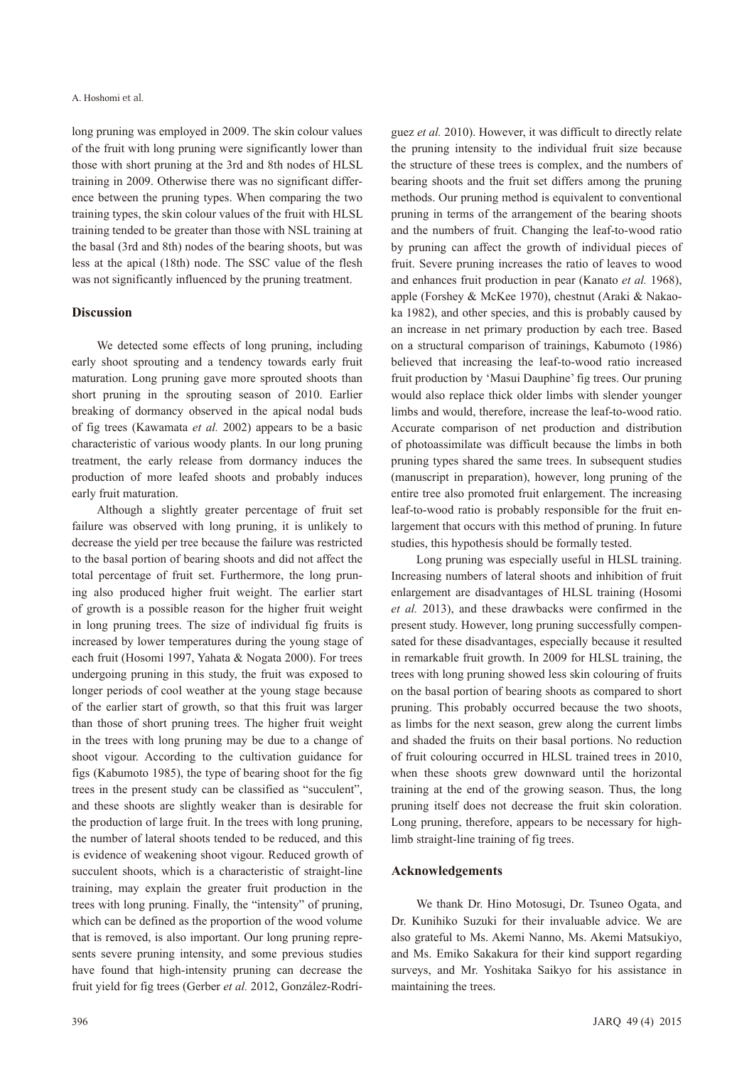#### A. Hoshomi et al.

long pruning was employed in 2009. The skin colour values of the fruit with long pruning were significantly lower than those with short pruning at the 3rd and 8th nodes of HLSL training in 2009. Otherwise there was no significant difference between the pruning types. When comparing the two training types, the skin colour values of the fruit with HLSL training tended to be greater than those with NSL training at the basal (3rd and 8th) nodes of the bearing shoots, but was less at the apical (18th) node. The SSC value of the flesh was not significantly influenced by the pruning treatment.

## **Discussion**

We detected some effects of long pruning, including early shoot sprouting and a tendency towards early fruit maturation. Long pruning gave more sprouted shoots than short pruning in the sprouting season of 2010. Earlier breaking of dormancy observed in the apical nodal buds of fig trees (Kawamata *et al.* 2002) appears to be a basic characteristic of various woody plants. In our long pruning treatment, the early release from dormancy induces the production of more leafed shoots and probably induces early fruit maturation.

Although a slightly greater percentage of fruit set failure was observed with long pruning, it is unlikely to decrease the yield per tree because the failure was restricted to the basal portion of bearing shoots and did not affect the total percentage of fruit set. Furthermore, the long pruning also produced higher fruit weight. The earlier start of growth is a possible reason for the higher fruit weight in long pruning trees. The size of individual fig fruits is increased by lower temperatures during the young stage of each fruit (Hosomi 1997, Yahata & Nogata 2000). For trees undergoing pruning in this study, the fruit was exposed to longer periods of cool weather at the young stage because of the earlier start of growth, so that this fruit was larger than those of short pruning trees. The higher fruit weight in the trees with long pruning may be due to a change of shoot vigour. According to the cultivation guidance for figs (Kabumoto 1985), the type of bearing shoot for the fig trees in the present study can be classified as "succulent", and these shoots are slightly weaker than is desirable for the production of large fruit. In the trees with long pruning, the number of lateral shoots tended to be reduced, and this is evidence of weakening shoot vigour. Reduced growth of succulent shoots, which is a characteristic of straight-line training, may explain the greater fruit production in the trees with long pruning. Finally, the "intensity" of pruning, which can be defined as the proportion of the wood volume that is removed, is also important. Our long pruning represents severe pruning intensity, and some previous studies have found that high-intensity pruning can decrease the fruit yield for fig trees (Gerber *et al.* 2012, González-Rodrí-

guez *et al.* 2010). However, it was difficult to directly relate the pruning intensity to the individual fruit size because the structure of these trees is complex, and the numbers of bearing shoots and the fruit set differs among the pruning methods. Our pruning method is equivalent to conventional pruning in terms of the arrangement of the bearing shoots and the numbers of fruit. Changing the leaf-to-wood ratio by pruning can affect the growth of individual pieces of fruit. Severe pruning increases the ratio of leaves to wood and enhances fruit production in pear (Kanato *et al.* 1968), apple (Forshey & McKee 1970), chestnut (Araki & Nakaoka 1982), and other species, and this is probably caused by an increase in net primary production by each tree. Based on a structural comparison of trainings, Kabumoto (1986) believed that increasing the leaf-to-wood ratio increased fruit production by 'Masui Dauphine' fig trees. Our pruning would also replace thick older limbs with slender younger limbs and would, therefore, increase the leaf-to-wood ratio. Accurate comparison of net production and distribution of photoassimilate was difficult because the limbs in both pruning types shared the same trees. In subsequent studies (manuscript in preparation), however, long pruning of the entire tree also promoted fruit enlargement. The increasing leaf-to-wood ratio is probably responsible for the fruit enlargement that occurs with this method of pruning. In future studies, this hypothesis should be formally tested.

Long pruning was especially useful in HLSL training. Increasing numbers of lateral shoots and inhibition of fruit enlargement are disadvantages of HLSL training (Hosomi *et al.* 2013), and these drawbacks were confirmed in the present study. However, long pruning successfully compensated for these disadvantages, especially because it resulted in remarkable fruit growth. In 2009 for HLSL training, the trees with long pruning showed less skin colouring of fruits on the basal portion of bearing shoots as compared to short pruning. This probably occurred because the two shoots, as limbs for the next season, grew along the current limbs and shaded the fruits on their basal portions. No reduction of fruit colouring occurred in HLSL trained trees in 2010, when these shoots grew downward until the horizontal training at the end of the growing season. Thus, the long pruning itself does not decrease the fruit skin coloration. Long pruning, therefore, appears to be necessary for highlimb straight-line training of fig trees.

### **Acknowledgements**

We thank Dr. Hino Motosugi, Dr. Tsuneo Ogata, and Dr. Kunihiko Suzuki for their invaluable advice. We are also grateful to Ms. Akemi Nanno, Ms. Akemi Matsukiyo, and Ms. Emiko Sakakura for their kind support regarding surveys, and Mr. Yoshitaka Saikyo for his assistance in maintaining the trees.